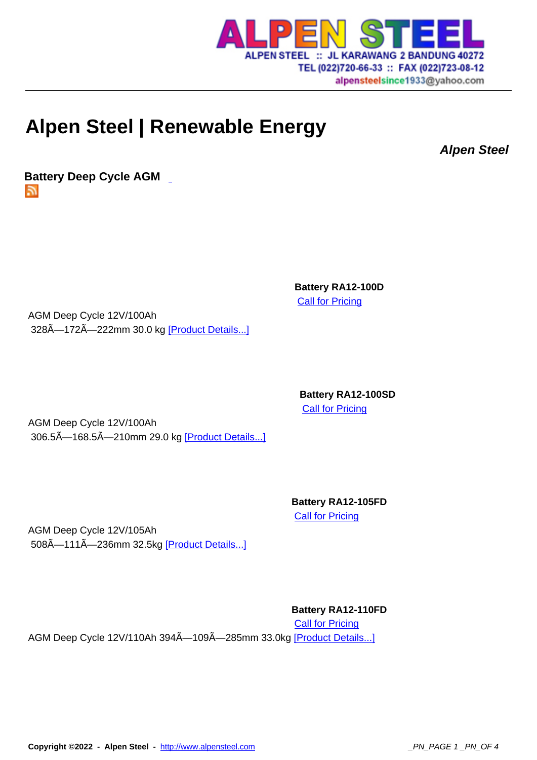

alpensteelsince1933@yahoo.com

## **Alpen Steel | Renew[able Energy](http://www.alpensteel.com)**

**Alpen Steel**

**Battery Deep Cycle AGM**  51

> **Battery RA12-100D Call for Pricing**

AGM Deep Cycle 12V/100Ah 328Å-172Å-222mm 30.0 kg [Product Details...]

> **Battery RA12-100SD Call for Pricing**

AGM Deep Cycle 12V/100Ah 306.5Ã-168.5Ã-210mm 29.0 kg [Product Details...]

> **Battery RA12-105FD Call for Pricing**

AGM Deep Cycle 12V/105Ah 508A-111A-236mm 32.5kg [Product Details...]

**Battery RA12-110FD**

**Call for Pricing** AGM Deep Cycle 12V/110Ah 394A-109A-285mm 33.0kg [Product Details...]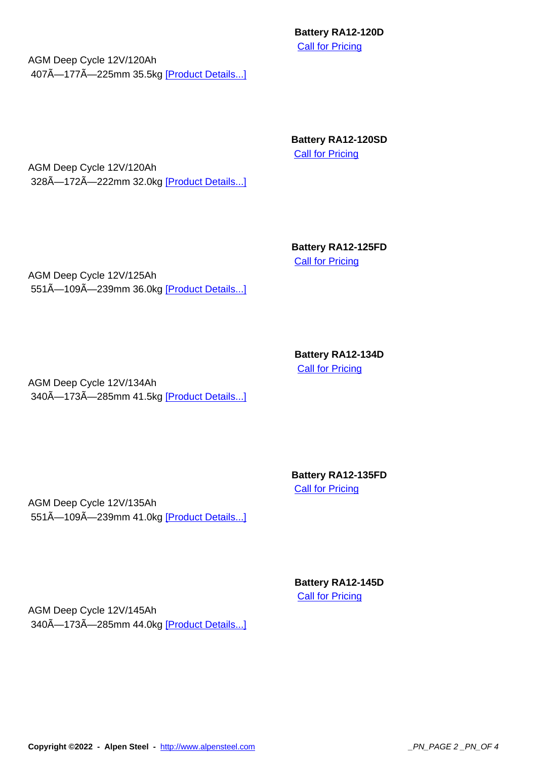**Call for Pricing** 

AGM Deep Cycle 12V/120Ah 407Ã-177Ã-225mm 35.5kg [Product Details...]

> **Battery RA12-120SD Call for Pricing**

AGM Deep Cycle 12V/120Ah 328Ã-172Ã-222mm 32.0kg [Product Details...]

> **Battery RA12-125FD Call for Pricing**

AGM Deep Cycle 12V/125Ah 551Ã-109Ã-239mm 36.0kg [Product Details...]

> **Battery RA12-134D** Call for Pricing

AGM Deep Cycle 12V/134Ah 340Ã-173Ã-285mm 41.5kg [Product Details...]

> **Battery RA12-135FD Call for Pricing**

AGM Deep Cycle 12V/135Ah 551Ã-109Ã-239mm 41.0kg [Product Details...]

> **Battery RA12-145D** Call for Pricing

AGM Deep Cycle 12V/145Ah 340Ã-173Ã-285mm 44.0kg [Product Details...]

**Copyright ©2022 - Alpen Steel - http://www.alpensteel.com \_\_\_\_\_\_\_\_\_\_\_\_\_\_\_\_\_\_\_\_\_\_\_\_\_\_\_\_\_\_\_\_\_PN\_PAGE 2 \_PN\_OF 4**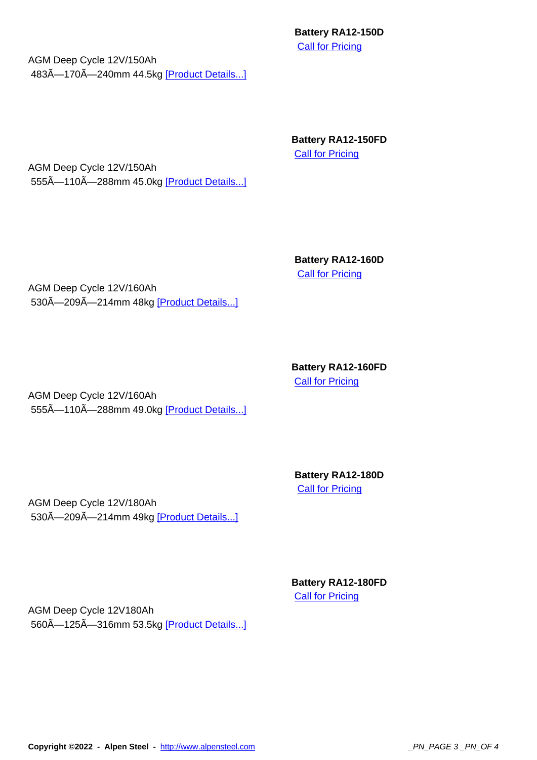**Call for Pricing** 

AGM Deep Cycle 12V/150Ah 483Ã-170Ã-240mm 44.5kg [Product Details...]

> **Battery RA12-150FD Call for Pricing**

AGM Deep Cycle 12V/150Ah 555Ã-110Ã-288mm 45.0kg [Product Details...]

> **Battery RA12-160D Call for Pricing**

AGM Deep Cycle 12V/160Ah 530Ã-209Ã-214mm 48kg [Product Details...]

> **Battery RA12-160FD Call for Pricing**

AGM Deep Cycle 12V/160Ah 555Ã-110Ã-288mm 49.0kg [Product Details...]

> **Battery RA12-180D Call for Pricing**

AGM Deep Cycle 12V/180Ah 530Ã-209Ã-214mm 49kg [Product Details...]

> **Battery RA12-180FD** Call for Pricing

AGM Deep Cycle 12V180Ah 560A-125A-316mm 53.5kg [Product Details...]

**Copyright ©2022 - Alpen Steel - http://www.alpensteel.com \_\_\_\_\_\_\_\_\_\_\_\_\_\_\_\_\_\_\_\_\_\_\_\_\_\_\_\_\_\_\_\_\_\_PN\_PAGE 3 \_PN\_OF 4**